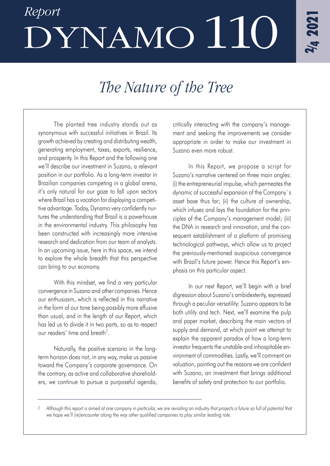# *Report* DYNAMO110

# *The Nature of the Tree*

The planted tree industry stands out as synonymous with successful initiatives in Brazil. Its growth achieved by creating and distributing wealth, generating employment, taxes, exports, resilience, and prosperity. In this Report and the following one we'll describe our investment in Suzano, a relevant position in our portfolio. As a long-term investor in Brazilian companies competing in a global arena, it's only natural for our gaze to fall upon sectors where Brazil has a vocation for displaying a competitive advantage. Today, Dynamo very confidently nurtures the understanding that Brazil is a powerhouse in the environmental industry. This philosophy has been constructed with increasingly more intensive research and dedication from our team of analysts. In an upcoming issue, here in this space, we intend to explore the whole breadth that this perspective can bring to our economy.

With this mindset, we find a very particular convergence in Suzano and other companies. Hence our enthusiasm, which is reflected in this narrative in the form of our tone being possibly more effusive than usual, and in the length of our Report, which has led us to divide it in two parts, so as to respect our readers' time and breath<sup>1</sup>

Naturally, the positive scenario in the longterm horizon does not, in any way, make us passive toward the Company's corporate governance. On the contrary, as active and collaborative shareholders, we continue to pursue a purposeful agenda, critically interacting with the company's management and seeking the improvements we consider appropriate in order to make our investment in Suzano even more robust.

In this Report, we propose a script for Suzano's narrative centered on three main angles: (i) the entrepreneurial impulse, which permeates the dynamic of successful expansion of the Company´s asset base thus far; (ii) the culture of ownership, which infuses and lays the foundation for the principles of the Company's management model; (iii) the DNA in research and innovation, and the consequent establishment of a platform of promising technological pathways, which allow us to project the previously-mentioned auspicious convergence with Brazil's future power. Hence this Report's emphasis on this particular aspect.

In our next Report, we'll begin with a brief digression about Suzano's ambidexterity, expressed through a peculiar versatility: Suzano appears to be both *utility* and *tech*. Next, we'll examine the pulp and paper market, describing the main vectors of supply and demand, at which point we attempt to explain the apparent paradox of how a long-term investor frequents the unstable and inhospitable environment of commodities. Lastly, we'll comment on valuation, pointing out the reasons we are confident with Suzano, an investment that brings additional benefits of safety and protection to our portfolio.

*<sup>1</sup> Although this report is aimed at one company in particular, we are revisiting an industry that projects a future so full of potential that we hope we'll (re)encounter along the way other qualified companies to play similar leading role.*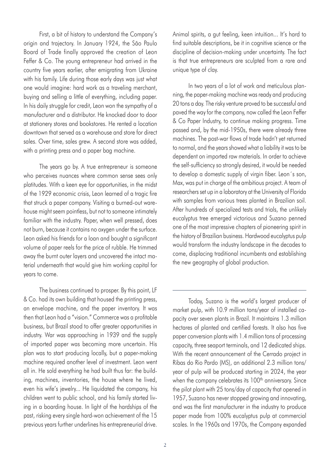First, a bit of history to understand the Company's origin and trajectory. In January 1924, the São Paulo Board of Trade finally approved the creation of Leon Feffer & Co. The young entrepreneur had arrived in the country five years earlier, after emigrating from Ukraine with his family. Life during those early days was just what one would imagine: hard work as a traveling merchant, buying and selling a little of everything, including paper. In his daily struggle for credit, Leon won the sympathy of a manufacturer and a distributor. He knocked door to door at stationery stores and bookstores. He rented a location downtown that served as a warehouse and store for direct sales. Over time, sales grew. A second store was added, with a printing press and a paper bag machine.

The years go by. A true entrepreneur is someone who perceives nuances where common sense sees only platitudes. With a keen eye for opportunities, in the midst of the 1929 economic crisis, Leon learned of a tragic fire that struck a paper company. Visiting a burned-out warehouse might seem pointless, but not to someone intimately familiar with the industry. Paper, when well pressed, does not burn, because it contains no oxygen under the surface. Leon asked his friends for a loan and bought a significant volume of paper reels for the price of rubble. He trimmed away the burnt outer layers and uncovered the intact material underneath that would give him working capital for years to come.

The business continued to prosper. By this point, LF & Co. had its own building that housed the printing press, an envelope machine, and the paper inventory. It was then that Leon had a "vision." Commerce was a profitable business, but Brazil stood to offer greater opportunities in industry. War was approaching in 1939 and the supply of imported paper was becoming more uncertain. His plan was to start producing locally, but a paper-making machine required another level of investment. Leon went all in. He sold everything he had built thus far: the building, machines, inventories, the house where he lived, even his wife's jewelry... He liquidated the company, his children went to public school, and his family started living in a boarding house. In light of the hardships of the past, risking every single hard-won achievement of the 15 previous years further underlines his entrepreneurial drive.

Animal spirits, a gut feeling, keen intuition... It's hard to find suitable descriptions, be it in cognitive science or the discipline of decision-making under uncertainty. The fact is that true entrepreneurs are sculpted from a rare and unique type of clay.

In two years of a lot of work and meticulous planning, the paper-making machine was ready and producing 20 tons a day. The risky venture proved to be successful and paved the way for the company, now called the Leon Feffer & Co Paper Industry, to continue making progress. Time passed and, by the mid-1950s, there were already three machines. The post-war flows of trade hadn't yet returned to normal, and the years showed what a liability it was to be dependent on imported raw materials. In order to achieve the self-sufficiency so strongly desired, it would be needed to develop a domestic supply of virgin fiber. Leon´s son, Max, was put in charge of the ambitious project. A team of researchers set up in a laboratory at the University of Florida with samples from various trees planted in Brazilian soil. After hundreds of specialized tests and trials, the unlikely eucalyptus tree emerged victorious and Suzano penned one of the most impressive chapters of pioneering spirit in the history of Brazilian business. Hardwood eucalyptus pulp would transform the industry landscape in the decades to come, displacing traditional incumbents and establishing the new geography of global production.

Today, Suzano is the world's largest producer of market pulp, with 10.9 million tons/year of installed capacity over seven plants in Brazil. It maintains 1.3 million hectares of planted and certified forests. It also has five paper conversion plants with 1.4 million tons of processing capacity, three seaport terminals, and 12 dedicated ships. With the recent announcement of the Cerrado project in Ribas do Rio Pardo (MS), an additional 2.3 million tons/ year of pulp will be produced starting in 2024, the year when the company celebrates its 100<sup>th</sup> anniversary. Since the pilot plant with 25 tons/day of capacity that opened in 1957, Suzano has never stopped growing and innovating, and was the first manufacturer in the industry to produce paper made from 100% eucalyptus pulp at commercial scales. In the 1960s and 1970s, the Company expanded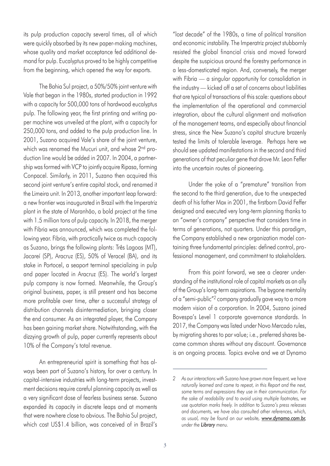its pulp production capacity several times, all of which were quickly absorbed by its new paper-making machines, whose quality and market acceptance fed additional demand for pulp. Eucalyptus proved to be highly competitive from the beginning, which opened the way for exports.

The Bahia Sul project, a 50%/50% joint venture with Vale that began in the 1980s, started production in 1992 with a capacity for 500,000 tons of hardwood eucalyptus pulp. The following year, the first printing and writing paper machine was unveiled at the plant, with a capacity for 250,000 tons, and added to the pulp production line. In 2001, Suzano acquired Vale's share of the joint venture, which was renamed the Mucuri unit, and whose 2<sup>nd</sup> production line would be added in 2007. In 2004, a partnership was formed with VCP to jointly acquire Ripasa, forming Conpacel. Similarly, in 2011, Suzano then acquired this second joint venture's entire capital stock, and renamed it the Limeira unit. In 2013, another important leap forward: a new frontier was inaugurated in Brazil with the Imperatriz plant in the state of Maranhão, a bold project at the time with 1.5 million tons of pulp capacity. In 2018, the merger with Fibria was announced, which was completed the following year. Fibria, with practically twice as much capacity as Suzano, brings the following plants: Três Lagoas (MT), Jacareí (SP), Aracruz (ES), 50% of Veracel (BA), and its stake in Portocel, a seaport terminal specializing in pulp and paper located in Aracruz (ES). The world's largest pulp company is now formed. Meanwhile, the Group's original business, paper, is still present and has become more profitable over time, after a successful strategy of distribution channels disintermediation, bringing closer the end consumer. As an integrated player, the Company has been gaining market share. Notwithstanding, with the dizzying growth of pulp, paper currently represents about 10% of the Company's total revenue.

An entrepreneurial spirit is something that has always been part of Suzano's history, for over a century. In capital-intensive industries with long-term projects, investment decisions require careful planning capacity as well as a very significant dose of fearless business sense. Suzano expanded its capacity in discrete leaps and at moments that were nowhere close to obvious. The Bahia Sul project, which cost US\$1.4 billion, was conceived of in Brazil's

"lost decade" of the 1980s, a time of political transition and economic instability. The Imperatriz project stubbornly resisted the global financial crisis and moved forward despite the suspicious around the forestry performance in a less-domesticated region. And, conversely, the merger with Fibria — a singular opportunity for consolidation in the industry — kicked off a set of concerns about liabilities that are typical of transactions of this scale: questions about the implementation of the operational and commercial integration, about the cultural alignment and motivation of the management teams, and especially about financial stress, since the New Suzano's capital structure brazenly tested the limits of tolerable leverage. Perhaps here we should see updated manifestations in the second and third generations of that peculiar gene that drove Mr. Leon Feffer into the uncertain routes of pioneering.

Under the yoke of a "premature" transition from the second to the third generation, due to the unexpected death of his father Max in 2001, the firstborn David Feffer designed and executed very long-term planning thanks to an "owner's company" perspective that considers time in terms of generations, not quarters. Under this paradigm, the Company established a new organization model containing three fundamental principles: defined control, professional management, and commitment to stakeholders.

From this point forward, we see a clearer understanding of the institutional role of capital markets as an ally of the Group's long-term aspirations. The bygone mentality of a "semi-public"*2* company gradually gave way to a more modern vision of a corporation. In 2004, Suzano joined Bovespa's Level 1 corporate governance standards. In 2017, the Company was listed under Novo Mercado rules, by migrating shares to par value; i.e., preferred shares became common shares without any discount. Governance is an ongoing process. Topics evolve and we at Dynamo

*<sup>2</sup> As our interactions with Suzano have grown more frequent, we have naturally learned and come to repeat, in this Report and the next, some terms and expressions they use in their communication. For the sake of readability and to avoid using multiple footnotes, we use quotation marks freely. In addition to Suzano's press releases and documents, we have also consulted other references, which, as usual, may be found on our website, www.dynamo.com.br, under the Library menu.*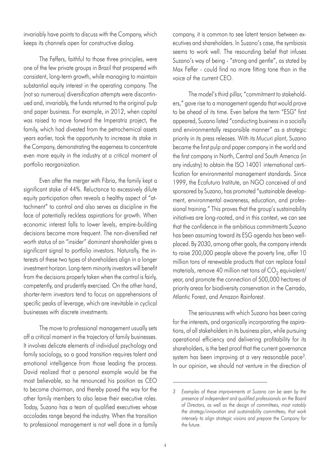invariably have points to discuss with the Company, which keeps its channels open for constructive dialog.

The Feffers, faithful to those three principles, were one of the few private groups in Brazil that prospered with consistent, long-term growth, while managing to maintain substantial equity interest in the operating company. The (not so numerous) diversification attempts were discontinued and, invariably, the funds returned to the original pulp and paper business. For example, in 2012, when capital was raised to move forward the Imperatriz project, the family, which had divested from the petrochemical assets years earlier, took the opportunity to increase its stake in the Company, demonstrating the eagerness to concentrate even more equity in the industry at a critical moment of portfolio reorganization.

Even after the merger with Fibria, the family kept a significant stake of 44%. Reluctance to excessively dilute equity participation often reveals a healthy aspect of "attachment" to control and also serves as discipline in the face of potentially reckless aspirations for growth. When economic interest falls to lower levels, empire-building decisions become more frequent. The non-diversified net worth status of an "insider" dominant shareholder gives a significant signal to portfolio investors. Naturally, the interests of these two types of shareholders align in a longer investment horizon. Long-term minority investors will benefit from the decisions properly taken when the control is fairly, competently, and prudently exercised. On the other hand, shorter-term investors tend to focus on apprehensions of specific peaks of leverage, which are inevitable in cyclical businesses with discrete investments.

The move to professional management usually sets off a critical moment in the trajectory of family businesses. It involves delicate elements of individual psychology and family sociology, so a good transition requires talent and emotional intelligence from those leading the process. David realized that a personal example would be the most believable, so he renounced his position as CEO to become chairman, and thereby paved the way for the other family members to also leave their executive roles. Today, Suzano has a team of qualified executives whose accolades range beyond the industry. When the transition to professional management is not well done in a family company, it is common to see latent tension between executives and shareholders. In Suzano's case, the symbiosis seems to work well. The resounding belief that infuses Suzano's way of being - "strong and gentle", as stated by Max Feffer - could find no more fitting tone than in the voice of the current CEO.

The model's third pillar, "commitment to stakeholders," gave rise to a management agenda that would prove to be ahead of its time. Even before the term "ESG" first appeared, Suzano listed "conducting business in a socially and environmentally responsible manner" as a strategic priority in its press releases. With its Mucuri plant, Suzano became the first pulp and paper company in the world and the first company in North, Central and South America (in any industry) to obtain the ISO 14001 international certification for environmental management standards. Since 1999, the Ecofuturo Institute, an NGO conceived of and sponsored by Suzano, has promoted "sustainable development, environmental awareness, education, and professional training." This proves that the group's sustainability initiatives are long-rooted, and in this context, we can see that the confidence in the ambitious commitments Suzano has been assuming toward its ESG agenda has been wellplaced. By 2030, among other goals, the company intends to raise 200,000 people above the poverty line, offer 10 million tons of renewable products that can replace fossil materials, remove 40 million net tons of  $CO<sub>2</sub>$  equivalent/ year, and promote the connection of 500,000 hectares of priority areas for biodiversity conservation in the Cerrado, Atlantic Forest, and Amazon Rainforest.

The seriousness with which Suzano has been caring for the interests, and organically incorporating the aspirations, of all stakeholders in its business plan, while pursuing operational efficiency and delivering profitability for its shareholders, is the best proof that the current governance system has been improving at a very reasonable pace*3.* In our opinion, we should not venture in the direction of

*<sup>3</sup> Examples of these improvements at Suzano can be seen by the presence of independent and qualified professionals on the Board of Directors, as well as the design of committees, most notably the strategy/innovation and sustainability committees, that work intensely to align strategic visions and prepare the Company for the future.*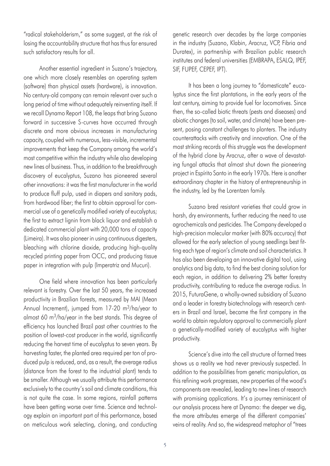"radical stakeholderism," as some suggest, at the risk of losing the accountability structure that has thus far ensured such satisfactory results for all.

Another essential ingredient in Suzano's trajectory, one which more closely resembles an operating system (software) than physical assets (hardware), is innovation. No century-old company can remain relevant over such a long period of time without adequately reinventing itself. If we recall Dynamo Report 108, the leaps that bring Suzano forward in successive S-curves have occurred through discrete and more obvious increases in manufacturing capacity, coupled with numerous, less-visible, incremental improvements that keep the Company among the world's most competitive within the industry while also developing new lines of business. Thus, in addition to the breakthrough discovery of eucalyptus, Suzano has pioneered several other innovations: it was the first manufacturer in the world to produce fluff pulp, used in diapers and sanitary pads, from hardwood fiber; the first to obtain approval for commercial use of a genetically modified variety of eucalyptus; the first to extract lignin from black liquor and establish a dedicated commercial plant with 20,000 tons of capacity (Limeira). It was also pioneer in using continuous digesters, bleaching with chlorine dioxide, producing high-quality recycled printing paper from OCC, and producing tissue paper in integration with pulp (Imperatriz and Mucuri).

One field where innovation has been particularly relevant is forestry. Over the last 50 years, the increased productivity in Brazilian forests, measured by MAI (Mean Annual Increment), jumped from 17-20 m<sup>3</sup>/ha/year to almost 60 m3/ha/year in the best stands. This degree of efficiency has launched Brazil past other countries to the position of lowest-cost producer in the world, significantly reducing the harvest time of eucalyptus to seven years. By harvesting faster, the planted area required per ton of produced pulp is reduced, and, as a result, the average radius (distance from the forest to the industrial plant) tends to be smaller. Although we usually attribute this performance exclusively to the country's soil and climate conditions, this is not quite the case. In some regions, rainfall patterns have been getting worse over time. Science and technology explain an important part of this performance, based on meticulous work selecting, cloning, and conducting

genetic research over decades by the large companies in the industry (Suzano, Klabin, Aracruz, VCP, Fibria and Duratex), in partnership with Brazilian public research institutes and federal universities (EMBRAPA, ESALQ, IPEF, SIF, FUPEF, CEPEF, IPT).

It has been a long journey to "domesticate" eucalyptus since the first plantations, in the early years of the last century, aiming to provide fuel for locomotives. Since then, the so-called biotic threats (pests and diseases) and abiotic changes (to soil, water, and climate) have been present, posing constant challenges to planters. The industry counterattacks with creativity and innovation. One of the most striking records of this struggle was the development of the hybrid clone by Aracruz, after a wave of devastating fungal attacks that almost shut down the pioneering project in Espírito Santo in the early 1970s. Here is another extraordinary chapter in the history of entrepreneurship in the industry, led by the Lorentzen family.

Suzano bred resistant varieties that could grow in harsh, dry environments, further reducing the need to use agrochemicals and pesticides. The Company developed a high-precision molecular marker (with 80% accuracy) that allowed for the early selection of young seedlings best fitting each type of region's climate and soil characteristics. It has also been developing an innovative digital tool, using analytics and big data, to find the best cloning solution for each region, in addition to delivering 2% better forestry productivity, contributing to reduce the average radius. In 2015, FuturaGene, a wholly-owned subsidiary of Suzano and a leader in forestry biotechnology with research centers in Brazil and Israel, became the first company in the world to obtain regulatory approval to commercially plant a genetically-modified variety of eucalyptus with higher productivity.

Science's dive into the cell structure of farmed trees shows us a reality we had never previously suspected. In addition to the possibilities from genetic manipulation, as this refining work progresses, new properties of the wood's components are revealed, leading to new lines of research with promising applications. It's a journey reminiscent of our analysis process here at Dynamo: the deeper we dig, the more attributes emerge of the different companies' veins of reality. And so, the widespread metaphor of "trees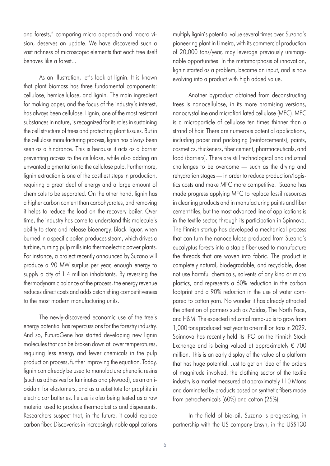and forests," comparing micro approach and macro vision, deserves an update. We have discovered such a vast richness of microscopic elements that each tree itself behaves like a forest...

As an illustration, let's look at lignin. It is known that plant biomass has three fundamental components: cellulose, hemicellulose, and lignin. The main ingredient for making paper, and the focus of the industry's interest, has always been cellulose. Lignin, one of the most resistant substances in nature, is recognized for its roles in sustaining the cell structure of trees and protecting plant tissues. But in the cellulose manufacturing process, lignin has always been seen as a hindrance. This is because it acts as a barrier preventing access to the cellulose, while also adding an unwanted pigmentation to the cellulose pulp. Furthermore, lignin extraction is one of the costliest steps in production, requiring a great deal of energy and a large amount of chemicals to be separated. On the other hand, lignin has a higher carbon content than carbohydrates, and removing it helps to reduce the load on the recovery boiler. Over time, the industry has come to understand this molecule's ability to store and release bioenergy. Black liquor, when burned in a specific boiler, produces steam, which drives a turbine, turning pulp mills into thermoelectric power plants. For instance, a project recently announced by Suzano will produce a 90 MW surplus per year, enough energy to supply a city of 1.4 million inhabitants. By reversing the thermodynamic balance of the process, the energy revenue reduces direct costs and adds astonishing competitiveness to the most modern manufacturing units.

The newly-discovered economic use of the tree's energy potential has repercussions for the forestry industry. And so, FuturaGene has started developing new lignin molecules that can be broken down at lower temperatures, requiring less energy and fewer chemicals in the pulp production process, further improving the equation. Today, lignin can already be used to manufacture phenolic resins (such as adhesives for laminates and plywood), as an antioxidant for elastomers, and as a substitute for graphite in electric car batteries. Its use is also being tested as a raw material used to produce thermoplastics and dispersants. Researchers suspect that, in the future, it could replace carbon fiber. Discoveries in increasingly noble applications multiply lignin's potential value several times over. Suzano's pioneering plant in Limeira, with its commercial production of 20,000 tons/year, may leverage previously unimaginable opportunities. In the metamorphosis of innovation, lignin started as a problem, became an input, and is now evolving into a product with high added value.

Another byproduct obtained from deconstructing trees is nanocellulose, in its more promising versions, nanocrystalline and microfibrillated cellulose (MFC). MFC is a microparticle of cellulose ten times thinner than a strand of hair. There are numerous potential applications, including paper and packaging (reinforcements), paints, cosmetics, thickeners, fiber cement, pharmaceuticals, and food (barriers). There are still technological and industrial challenges to be overcome — such as the drying and rehydration stages — in order to reduce production/logistics costs and make MFC more competitive. Suzano has made progress applying MFC to replace fossil resources in cleaning products and in manufacturing paints and fiber cement tiles, but the most advanced line of applications is in the textile sector, through its participation in Spinnova. The Finnish startup has developed a mechanical process that can turn the nanocellulose produced from Suzano's eucalyptus forests into a staple fiber used to manufacture the threads that are woven into fabric. The product is completely natural, biodegradable, and recyclable, does not use harmful chemicals, solvents of any kind or micro plastics, and represents a 60% reduction in the carbon footprint and a 90% reduction in the use of water compared to cotton yarn. No wonder it has already attracted the attention of partners such as Adidas, The North Face, and H&M. The expected industrial ramp-up is to grow from 1,000 tons produced next year to one million tons in 2029. Spinnova has recently held its IPO on the Finnish Stock Exchange and is being valued at approximately € 700 million. This is an early display of the value of a platform that has huge potential. Just to get an idea of the orders of magnitude involved, the clothing sector of the textile industry is a market measured at approximately 110 Mtons and dominated by products based on synthetic fibers made from petrochemicals (60%) and cotton (25%).

In the field of bio-oil, Suzano is progressing, in partnership with the US company Ensyn, in the US\$130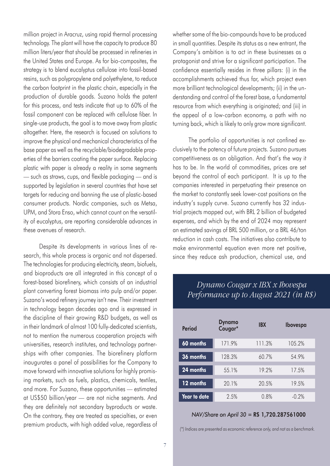million project in Aracruz, using rapid thermal processing technology. The plant will have the capacity to produce 80 million liters/year that should be processed in refineries in the United States and Europe. As for bio-composites, the strategy is to blend eucalyptus cellulose into fossil-based resins, such as polypropylene and polyethylene, to reduce the carbon footprint in the plastic chain, especially in the production of durable goods. Suzano holds the patent for this process, and tests indicate that up to 60% of the fossil component can be replaced with cellulose fiber. In single-use products, the goal is to move away from plastic altogether. Here, the research is focused on solutions to improve the physical and mechanical characteristics of the base paper as well as the recyclable/biodegradable properties of the barriers coating the paper surface. Replacing plastic with paper is already a reality in some segments — such as straws, cups, and flexible packaging — and is supported by legislation in several countries that have set targets for reducing and banning the use of plastic-based consumer products. Nordic companies, such as Metsa, UPM, and Stora Enso, which cannot count on the versatility of eucalyptus, are reporting considerable advances in these avenues of research.

Despite its developments in various lines of research, this whole process is organic and not dispersed. The technologies for producing electricity, steam, biofuels, and bioproducts are all integrated in this concept of a forest-based biorefinery, which consists of an industrial plant converting forest biomass into pulp and/or paper. Suzano's wood refinery journey isn't new. Their investment in technology began decades ago and is expressed in the discipline of their growing R&D budgets, as well as in their landmark of almost 100 fully-dedicated scientists, not to mention the numerous cooperation projects with universities, research institutes, and technology partnerships with other companies. The biorefinery platform inaugurates a panel of possibilities for the Company to move forward with innovative solutions for highly promising markets, such as fuels, plastics, chemicals, textiles, and more. For Suzano, these opportunities — estimated at US\$50 billion/year — are not niche segments. And they are definitely not secondary byproducts or waste. On the contrary, they are treated as specialties, or even premium products, with high added value, regardless of whether some of the bio-compounds have to be produced in small quantities. Despite its status as a new entrant, the Company's ambition is to act in these businesses as a protagonist and strive for a significant participation. The confidence essentially resides in three pillars: (i) in the accomplishments achieved thus far, which project even more brilliant technological developments; (ii) in the understanding and control of the forest base, a fundamental resource from which everything is originated; and (iii) in the appeal of a low-carbon economy, a path with no turning back, which is likely to only grow more significant.

The portfolio of opportunities is not confined exclusively to the potency of future projects. Suzano pursues competitiveness as an obligation. And that's the way it has to be. In the world of commodities, prices are set beyond the control of each participant. It is up to the companies interested in perpetuating their presence on the market to constantly seek lower-cost positions on the industry's supply curve. Suzano currently has 32 industrial projects mapped out, with BRL 2 billion of budgeted expenses, and which by the end of 2024 may represent an estimated savings of BRL 500 million, or a BRL 46/ton reduction in cash costs. The initiatives also contribute to make environmental equation even more net positive, since they reduce ash production, chemical use, and

### *Dynamo Cougar x IBX x Ibovespa Performance up to August 2021 (in R\$)*

| <b>Period</b> | <b>Dynamo</b><br>Cougar* | <b>IBX</b> | <b>Ibovespa</b> |
|---------------|--------------------------|------------|-----------------|
| $60$ months   | 171.9%                   | 111.3%     | 105.2%          |
| 36 months     | 128.3%                   | 60.7%      | 54.9%           |
| 24 months     | 55.1%                    | 19.2%      | 17.5%           |
| 12 months     | 20.1%                    | 20.5%      | 19.5%           |
| Year to date  | 2.5%                     | 0.8%       | $-0.2\%$        |

#### *NAV/Share on April 30* = R\$ 1,720.287561000

*(\*) Indices are presented as economic reference only, and not as a benchmark.*